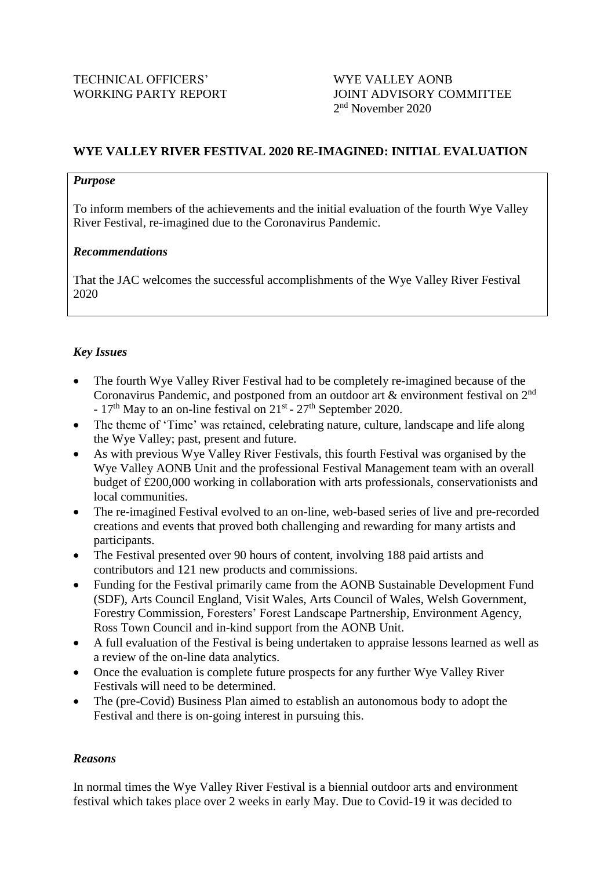## **WYE VALLEY RIVER FESTIVAL 2020 RE-IMAGINED: INITIAL EVALUATION**

### *Purpose*

To inform members of the achievements and the initial evaluation of the fourth Wye Valley River Festival, re-imagined due to the Coronavirus Pandemic.

### *Recommendations*

That the JAC welcomes the successful accomplishments of the Wye Valley River Festival 2020

### *Key Issues*

- The fourth Wye Valley River Festival had to be completely re-imagined because of the Coronavirus Pandemic, and postponed from an outdoor art  $\&$  environment festival on  $2^{nd}$ -  $17<sup>th</sup>$  May to an on-line festival on  $21<sup>st</sup>$  -  $27<sup>th</sup>$  September 2020.
- The theme of 'Time' was retained, celebrating nature, culture, landscape and life along the Wye Valley; past, present and future.
- As with previous Wye Valley River Festivals, this fourth Festival was organised by the Wye Valley AONB Unit and the professional Festival Management team with an overall budget of £200,000 working in collaboration with arts professionals, conservationists and local communities.
- The re-imagined Festival evolved to an on-line, web-based series of live and pre-recorded creations and events that proved both challenging and rewarding for many artists and participants.
- The Festival presented over 90 hours of content, involving 188 paid artists and contributors and 121 new products and commissions.
- Funding for the Festival primarily came from the AONB Sustainable Development Fund (SDF), Arts Council England, Visit Wales, Arts Council of Wales, Welsh Government, Forestry Commission, Foresters' Forest Landscape Partnership, Environment Agency, Ross Town Council and in-kind support from the AONB Unit.
- A full evaluation of the Festival is being undertaken to appraise lessons learned as well as a review of the on-line data analytics.
- Once the evaluation is complete future prospects for any further Wye Valley River Festivals will need to be determined.
- The (pre-Covid) Business Plan aimed to establish an autonomous body to adopt the Festival and there is on-going interest in pursuing this.

### *Reasons*

In normal times the Wye Valley River Festival is a biennial outdoor arts and environment festival which takes place over 2 weeks in early May. Due to Covid-19 it was decided to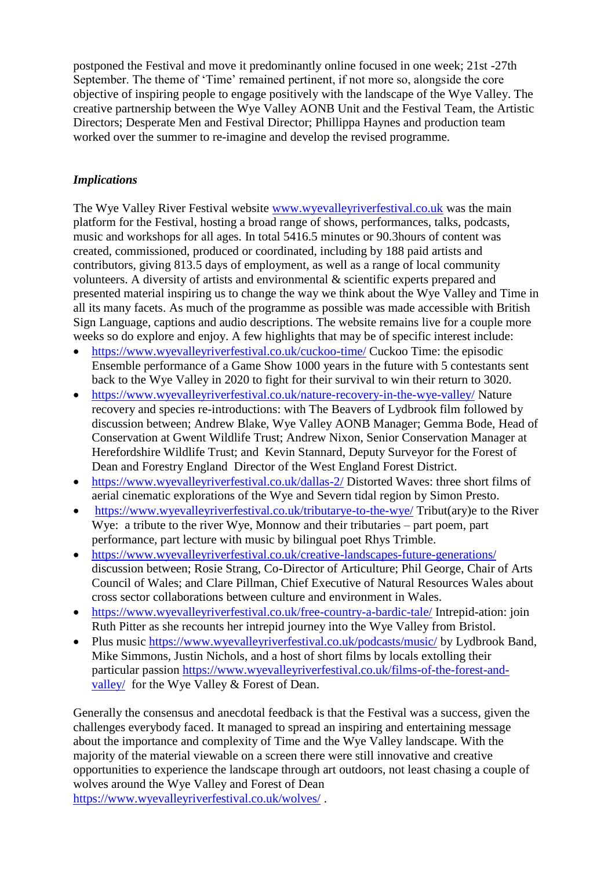postponed the Festival and move it predominantly online focused in one week; 21st -27th September. The theme of 'Time' remained pertinent, if not more so, alongside the core objective of inspiring people to engage positively with the landscape of the Wye Valley. The creative partnership between the Wye Valley AONB Unit and the Festival Team, the Artistic Directors; Desperate Men and Festival Director; Phillippa Haynes and production team worked over the summer to re-imagine and develop the revised programme.

# *Implications*

The Wye Valley River Festival website [www.wyevalleyriverfestival.co.uk](http://www.wyevalleyriverfestival.co.uk/) was the main platform for the Festival, hosting a broad range of shows, performances, talks, podcasts, music and workshops for all ages. In total 5416.5 minutes or 90.3hours of content was created, commissioned, produced or coordinated, including by 188 paid artists and contributors, giving 813.5 days of employment, as well as a range of local community volunteers. A diversity of artists and environmental & scientific experts prepared and presented material inspiring us to change the way we think about the Wye Valley and Time in all its many facets. As much of the programme as possible was made accessible with British Sign Language, captions and audio descriptions. The website remains live for a couple more weeks so do explore and enjoy. A few highlights that may be of specific interest include:

- <https://www.wyevalleyriverfestival.co.uk/cuckoo-time/> Cuckoo Time: the episodic Ensemble performance of a Game Show 1000 years in the future with 5 contestants sent back to the Wye Valley in 2020 to fight for their survival to win their return to 3020.
- <https://www.wyevalleyriverfestival.co.uk/nature-recovery-in-the-wye-valley/> Nature recovery and species re-introductions: with The Beavers of Lydbrook film followed by discussion between; Andrew Blake, Wye Valley AONB Manager; Gemma Bode, Head of Conservation at Gwent Wildlife Trust; Andrew Nixon, Senior Conservation Manager at Herefordshire Wildlife Trust; and Kevin Stannard, Deputy Surveyor for the Forest of Dean and Forestry England Director of the West England Forest District.
- <https://www.wyevalleyriverfestival.co.uk/dallas-2/> Distorted Waves: three short films of aerial cinematic explorations of the Wye and Severn tidal region by Simon Presto.
- <https://www.wyevalleyriverfestival.co.uk/tributarye-to-the-wye/> Tribut(ary)e to the River Wye: a tribute to the river Wye, Monnow and their tributaries – part poem, part performance, part lecture with music by bilingual poet Rhys Trimble.
- <https://www.wyevalleyriverfestival.co.uk/creative-landscapes-future-generations/> discussion between; Rosie Strang, Co-Director of Articulture; Phil George, Chair of Arts Council of Wales; and Clare Pillman, Chief Executive of Natural Resources Wales about cross sector collaborations between culture and environment in Wales.
- <https://www.wyevalleyriverfestival.co.uk/free-country-a-bardic-tale/> Intrepid-ation: join Ruth Pitter as she recounts her intrepid journey into the Wye Valley from Bristol.
- Plus music<https://www.wyevalleyriverfestival.co.uk/podcasts/music/> by Lydbrook Band, Mike Simmons, Justin Nichols, and a host of short films by locals extolling their particular passion [https://www.wyevalleyriverfestival.co.uk/films-of-the-forest-and](https://www.wyevalleyriverfestival.co.uk/films-of-the-forest-and-valley/)[valley/](https://www.wyevalleyriverfestival.co.uk/films-of-the-forest-and-valley/) for the Wye Valley & Forest of Dean.

Generally the consensus and anecdotal feedback is that the Festival was a success, given the challenges everybody faced. It managed to spread an inspiring and entertaining message about the importance and complexity of Time and the Wye Valley landscape. With the majority of the material viewable on a screen there were still innovative and creative opportunities to experience the landscape through art outdoors, not least chasing a couple of wolves around the Wye Valley and Forest of Dean <https://www.wyevalleyriverfestival.co.uk/wolves/> .